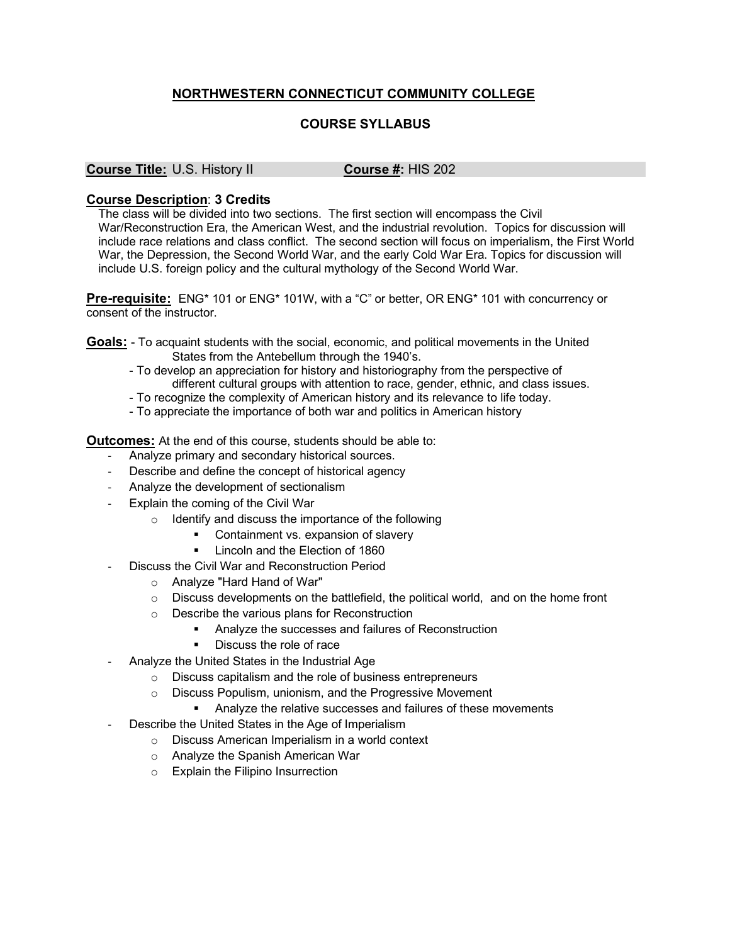## **NORTHWESTERN CONNECTICUT COMMUNITY COLLEGE**

## **COURSE SYLLABUS**

## **Course Title:** U.S. History II **Course #:** HIS 202

## **Course Description**: **3 Credits**

The class will be divided into two sections. The first section will encompass the Civil War/Reconstruction Era, the American West, and the industrial revolution. Topics for discussion will include race relations and class conflict. The second section will focus on imperialism, the First World War, the Depression, the Second World War, and the early Cold War Era. Topics for discussion will include U.S. foreign policy and the cultural mythology of the Second World War.

**Pre-requisite:** ENG\* 101 or ENG\* 101W, with a "C" or better, OR ENG\* 101 with concurrency or consent of the instructor.

- **Goals:** To acquaint students with the social, economic, and political movements in the United States from the Antebellum through the 1940's.
	- To develop an appreciation for history and historiography from the perspective of different cultural groups with attention to race, gender, ethnic, and class issues.
	- To recognize the complexity of American history and its relevance to life today.
	- To appreciate the importance of both war and politics in American history

**Outcomes:** At the end of this course, students should be able to:

- Analyze primary and secondary historical sources.
- Describe and define the concept of historical agency
- Analyze the development of sectionalism
- Explain the coming of the Civil War
	- o Identify and discuss the importance of the following
		- Containment vs. expansion of slavery
		- § Lincoln and the Election of 1860
	- Discuss the Civil War and Reconstruction Period
		- o Analyze "Hard Hand of War"
		- $\circ$  Discuss developments on the battlefield, the political world, and on the home front
		- o Describe the various plans for Reconstruction
			- § Analyze the successes and failures of Reconstruction
			- Discuss the role of race
- Analyze the United States in the Industrial Age
	- o Discuss capitalism and the role of business entrepreneurs
	- o Discuss Populism, unionism, and the Progressive Movement
		- § Analyze the relative successes and failures of these movements
	- Describe the United States in the Age of Imperialism
		- o Discuss American Imperialism in a world context
		- o Analyze the Spanish American War
		- o Explain the Filipino Insurrection